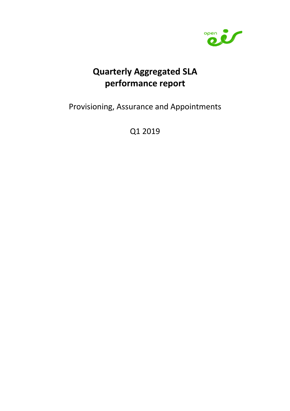

# Quarterly Aggregated SLA performance report

Provisioning, Assurance and Appointments

Q1 2019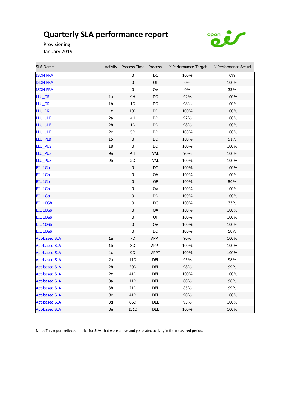

Provisioning January 2019

| <b>SLA Name</b>      | <b>Activity</b> | Process Time    | Process       | %Performance Target | %Performance Actual |
|----------------------|-----------------|-----------------|---------------|---------------------|---------------------|
| <b>ISDN PRA</b>      |                 | 0               | DC            | 100%                | 0%                  |
| <b>ISDN PRA</b>      |                 | $\pmb{0}$       | OF            | $0\%$               | 100%                |
| <b>ISDN PRA</b>      |                 | $\pmb{0}$       | OV            | $0\%$               | 33%                 |
| LLU_DRL              | 1a              | 4H              | $\mathsf{DD}$ | 92%                 | 100%                |
| LLU_DRL              | 1 <sub>b</sub>  | 1D              | DD            | 98%                 | 100%                |
| LLU_DRL              | 1 <sub>c</sub>  | 10 <sub>D</sub> | DD            | 100%                | 100%                |
| LLU_ULE              | 2a              | 4H              | DD            | 92%                 | 100%                |
| LLU_ULE              | 2 <sub>b</sub>  | 1D              | $\mathsf{DD}$ | 98%                 | 100%                |
| LLU_ULE              | 2c              | 5D              | DD            | 100%                | 100%                |
| LLU_PLB              | 15              | $\pmb{0}$       | $\mathsf{DD}$ | 100%                | 91%                 |
| LLU_PUS              | 18              | $\pmb{0}$       | $\mathsf{DD}$ | 100%                | 100%                |
| LLU_PUS              | 9a              | 4H              | VAL           | 90%                 | 100%                |
| LLU_PUS              | 9b              | 2D              | <b>VAL</b>    | 100%                | 100%                |
| EIL 1Gb              |                 | $\pmb{0}$       | $\mathsf{DC}$ | 100%                | 100%                |
| EIL 1Gb              |                 | 0               | OA            | 100%                | 100%                |
| EIL 1Gb              |                 | $\pmb{0}$       | OF            | 100%                | 50%                 |
| EIL 1Gb              |                 | $\pmb{0}$       | OV            | 100%                | 100%                |
| EIL 1Gb              |                 | $\pmb{0}$       | DD            | 100%                | 100%                |
| EIL 10Gb             |                 | $\pmb{0}$       | DC            | 100%                | 33%                 |
| <b>EIL 10Gb</b>      |                 | $\pmb{0}$       | OA            | 100%                | 100%                |
| EIL 10Gb             |                 | $\pmb{0}$       | OF            | 100%                | 100%                |
| EIL 10Gb             |                 | $\pmb{0}$       | OV            | 100%                | 100%                |
| EIL 10Gb             |                 | $\pmb{0}$       | DD            | 100%                | 50%                 |
| <b>Apt-based SLA</b> | 1a              | 7D              | APPT          | 90%                 | 100%                |
| <b>Apt-based SLA</b> | 1 <sub>b</sub>  | 8D              | <b>APPT</b>   | 100%                | 100%                |
| <b>Apt-based SLA</b> | $1c$            | $9D$            | APPT          | 100%                | 100%                |
| <b>Apt-based SLA</b> | 2a              | 11D             | DEL           | 95%                 | 98%                 |
| <b>Apt-based SLA</b> | 2 <sub>b</sub>  | 20 <sub>D</sub> | DEL           | 98%                 | 99%                 |
| <b>Apt-based SLA</b> | 2c              | 41D             | DEL           | 100%                | 100%                |
| <b>Apt-based SLA</b> | 3a              | 11D             | DEL           | 80%                 | 98%                 |
| <b>Apt-based SLA</b> | 3b              | 21D             | DEL           | 85%                 | 99%                 |
| <b>Apt-based SLA</b> | $3\mathrm{c}$   | 41D             | DEL           | 90%                 | 100%                |
| <b>Apt-based SLA</b> | 3d              | 66D             | DEL           | 95%                 | 100%                |
| <b>Apt-based SLA</b> | 3e              | 131D            | DEL           | 100%                | 100%                |

Note: This report reflects metrics for SLAs that were active and generated activity in the measured period.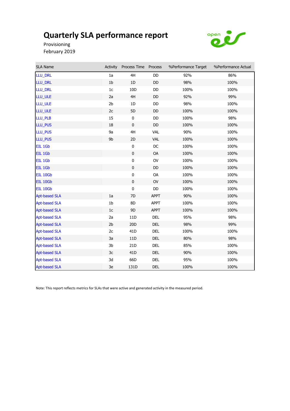

Provisioning February 2019

Ì.

| SLA Name             | Activity       | Process Time Process |               | %Performance Target | %Performance Actual |
|----------------------|----------------|----------------------|---------------|---------------------|---------------------|
| LLU_DRL              | 1a             | 4H                   | DD            | 92%                 | 86%                 |
| LLU_DRL              | 1 <sub>b</sub> | $1D$                 | DD            | 98%                 | 100%                |
| LLU_DRL              | 1c             | 10D                  | DD            | 100%                | 100%                |
| LLU_ULE              | 2a             | 4H                   | DD            | 92%                 | 99%                 |
| LLU_ULE              | 2b             | 1D                   | DD            | 98%                 | 100%                |
| LLU_ULE              | 2c             | 5D                   | DD            | 100%                | 100%                |
| LLU_PLB              | 15             | $\bf{0}$             | DD            | 100%                | 98%                 |
| LLU_PUS              | 18             | $\pmb{0}$            | <b>DD</b>     | 100%                | 100%                |
| LLU_PUS              | 9a             | 4H                   | <b>VAL</b>    | 90%                 | 100%                |
| LLU_PUS              | 9b             | 2D                   | <b>VAL</b>    | 100%                | 100%                |
| EIL 1Gb              |                | $\pmb{0}$            | $\mathsf{DC}$ | 100%                | 100%                |
| EIL 1Gb              |                | $\pmb{0}$            | OA            | 100%                | 100%                |
| EIL 1Gb              |                | $\pmb{0}$            | <b>OV</b>     | 100%                | 100%                |
| EIL 1Gb              |                | $\pmb{0}$            | DD            | 100%                | 100%                |
| <b>EIL 10Gb</b>      |                | $\pmb{0}$            | OA            | 100%                | 100%                |
| EIL 10Gb             |                | $\pmb{0}$            | OV            | 100%                | 100%                |
| EIL 10Gb             |                | $\pmb{0}$            | DD            | 100%                | 100%                |
| <b>Apt-based SLA</b> | 1a             | 7D                   | <b>APPT</b>   | 90%                 | 100%                |
| <b>Apt-based SLA</b> | 1 <sub>b</sub> | 8D                   | <b>APPT</b>   | 100%                | 100%                |
| <b>Apt-based SLA</b> | 1c             | 9D                   | <b>APPT</b>   | 100%                | 100%                |
| <b>Apt-based SLA</b> | 2a             | 11D                  | DEL           | 95%                 | 98%                 |
| <b>Apt-based SLA</b> | 2 <sub>b</sub> | 20 <sub>D</sub>      | DEL           | 98%                 | 99%                 |
| <b>Apt-based SLA</b> | 2c             | 41 <sub>D</sub>      | DEL           | 100%                | 100%                |
| <b>Apt-based SLA</b> | 3a             | 11D                  | DEL           | 80%                 | 98%                 |
| <b>Apt-based SLA</b> | 3 <sub>b</sub> | 21D                  | DEL           | 85%                 | 100%                |
| <b>Apt-based SLA</b> | 3c             | 41 <sub>D</sub>      | DEL           | 90%                 | 100%                |
| <b>Apt-based SLA</b> | 3d             | 66D                  | <b>DEL</b>    | 95%                 | 100%                |
| <b>Apt-based SLA</b> | 3e             | 131D                 | <b>DEL</b>    | 100%                | 100%                |

Note: This report reflects metrics for SLAs that were active and generated activity in the measured period.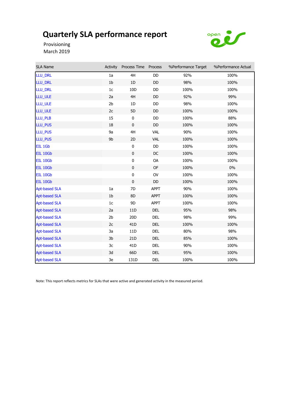

Provisioning March 2019

| SLA Name             | Activity       | Process Time Process |               | %Performance Target | %Performance Actual |
|----------------------|----------------|----------------------|---------------|---------------------|---------------------|
| LLU_DRL              | 1a             | 4H                   | DD            | 92%                 | 100%                |
| LLU_DRL              | 1 <sub>b</sub> | 1D                   | DD            | 98%                 | 100%                |
| LLU_DRL              | 1c             | 10D                  | DD            | 100%                | 100%                |
| LLU_ULE              | 2a             | 4H                   | DD            | 92%                 | 99%                 |
| LLU_ULE              | 2 <sub>b</sub> | 1D                   | DD            | 98%                 | 100%                |
| LLU_ULE              | 2c             | 5D                   | DD            | 100%                | 100%                |
| LLU_PLB              | 15             | $\bf{0}$             | DD            | 100%                | 88%                 |
| LLU_PUS              | 18             | $\pmb{0}$            | DD            | 100%                | 100%                |
| LLU_PUS              | 9a             | 4H                   | VAL           | 90%                 | 100%                |
| LLU_PUS              | 9b             | 2D                   | <b>VAL</b>    | 100%                | 100%                |
| EIL 1Gb              |                | $\pmb{0}$            | DD            | 100%                | 100%                |
| <b>EIL 10Gb</b>      |                | $\pmb{0}$            | $DC$          | 100%                | 100%                |
| EIL 10Gb             |                | $\pmb{0}$            | OA            | 100%                | 100%                |
| EIL 10Gb             |                | $\mathbf 0$          | <b>OF</b>     | 100%                | $0\%$               |
| EIL 10Gb             |                | $\pmb{0}$            | OV            | 100%                | 100%                |
| EIL 10Gb             |                | $\pmb{0}$            | $\mathsf{DD}$ | 100%                | 100%                |
| <b>Apt-based SLA</b> | 1a             | 7D                   | <b>APPT</b>   | 90%                 | 100%                |
| <b>Apt-based SLA</b> | 1 <sub>b</sub> | 8D                   | <b>APPT</b>   | 100%                | 100%                |
| <b>Apt-based SLA</b> | 1c             | 9D                   | <b>APPT</b>   | 100%                | 100%                |
| <b>Apt-based SLA</b> | 2a             | 11D                  | DEL           | 95%                 | 98%                 |
| <b>Apt-based SLA</b> | 2 <sub>b</sub> | 20 <sub>D</sub>      | DEL           | 98%                 | 99%                 |
| <b>Apt-based SLA</b> | 2c             | 41 <sub>D</sub>      | <b>DEL</b>    | 100%                | 100%                |
| <b>Apt-based SLA</b> | 3a             | 11D                  | <b>DEL</b>    | 80%                 | 98%                 |
| <b>Apt-based SLA</b> | 3b             | 21D                  | DEL           | 85%                 | 100%                |
| <b>Apt-based SLA</b> | 3c             | 41 <sub>D</sub>      | DEL           | 90%                 | 100%                |
| <b>Apt-based SLA</b> | 3d             | 66D                  | DEL           | 95%                 | 100%                |
| <b>Apt-based SLA</b> | 3e             | 131D                 | <b>DEL</b>    | 100%                | 100%                |

Note: This report reflects metrics for SLAs that were active and generated activity in the measured period.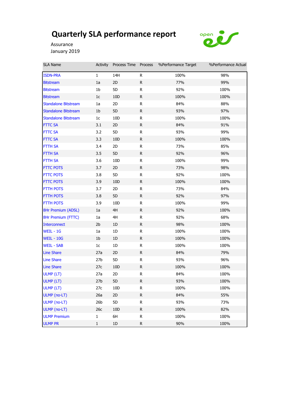

Assurance January 2019

| <b>SLA Name</b>             | Activity        | Process Time Process |              | %Performance Target | %Performance Actual |
|-----------------------------|-----------------|----------------------|--------------|---------------------|---------------------|
| <b>ISDN-PRA</b>             | $\mathbf{1}$    | 14H                  | R            | 100%                | 98%                 |
| <b>Bitstream</b>            | 1a              | 2D                   | R            | 77%                 | 99%                 |
| <b>Bitstream</b>            | 1b              | 5D                   | R            | 92%                 | 100%                |
| <b>Bitstream</b>            | $1c$            | 10 <sub>D</sub>      | R            | 100%                | 100%                |
| <b>Standalone Bitstream</b> | 1a              | 2D                   | ${\sf R}$    | 84%                 | 88%                 |
| <b>Standalone Bitstream</b> | 1 <sub>b</sub>  | 5D                   | R            | 93%                 | 97%                 |
| <b>Standalone Bitstream</b> | 1 <sub>c</sub>  | 10 <sub>D</sub>      | R            | 100%                | 100%                |
| <b>FTTC SA</b>              | 3.1             | 2D                   | R            | 84%                 | 91%                 |
| <b>FTTC SA</b>              | 3.2             | 5D                   | R            | 93%                 | 99%                 |
| <b>FTTC SA</b>              | 3.3             | 10 <sub>D</sub>      | $\mathsf{R}$ | 100%                | 100%                |
| FTTH SA                     | 3.4             | 2D                   | R            | 73%                 | 85%                 |
| <b>FTTH SA</b>              | 3.5             | 5D                   | ${\sf R}$    | 92%                 | 96%                 |
| FTTH SA                     | 3.6             | 10D                  | R            | 100%                | 99%                 |
| <b>FTTC POTS</b>            | 3.7             | 2D                   | R            | 73%                 | 98%                 |
| <b>FTTC POTS</b>            | 3.8             | 5D                   | R            | 92%                 | 100%                |
| <b>FTTC POTS</b>            | 3.9             | 10 <sub>D</sub>      | ${\sf R}$    | 100%                | 100%                |
| <b>FTTH POTS</b>            | 3.7             | 2D                   | ${\sf R}$    | 73%                 | 84%                 |
| <b>FTTH POTS</b>            | 3.8             | 5D                   | R            | 92%                 | 97%                 |
| <b>FTTH POTS</b>            | 3.9             | 10D                  | R            | 100%                | 99%                 |
| 8Hr Premium (ADSL)          | 1a              | 4H                   | $\mathsf{R}$ | 92%                 | 100%                |
| 8Hr Premium (FTTC)          | 1a              | 4H                   | R            | 92%                 | 68%                 |
| <b>Interconnect</b>         | 2 <sub>b</sub>  | 1D                   | $\mathsf{R}$ | 98%                 | 100%                |
| WEIL - 1G                   | 1a              | 1D                   | R            | 100%                | 100%                |
| <b>WEIL - 10G</b>           | 1 <sub>b</sub>  | 1D                   | R            | 100%                | 100%                |
| <b>WEIL - SAB</b>           | 1 <sub>c</sub>  | 1D                   | R            | 100%                | 100%                |
| <b>Line Share</b>           | 27a             | 2D                   | $\mathsf{R}$ | 84%                 | 79%                 |
| <b>Line Share</b>           | 27 <sub>b</sub> | 5D                   | ${\sf R}$    | 93%                 | 96%                 |
| <b>Line Share</b>           | 27c             | 10 <sub>D</sub>      | R            | 100%                | 100%                |
| ULMP (LT)                   | 27a             | 2D                   | ${\sf R}$    | 84%                 | 100%                |
| ULMP (LT)                   | 27b             | 5D                   | R            | 93%                 | 100%                |
| ULMP (LT)                   | 27c             | 10 <sub>D</sub>      | R            | 100%                | 100%                |
| ULMP (no-LT)                | 26a             | 2D                   | $\mathsf R$  | 84%                 | 55%                 |
| ULMP (no-LT)                | 26 <sub>b</sub> | 5D                   | R            | 93%                 | 73%                 |
| ULMP (no-LT)                | 26c             | 10 <sub>D</sub>      | $\mathsf R$  | 100%                | 82%                 |
| <b>ULMP Premium</b>         | $\mathbf{1}$    | 6H                   | ${\sf R}$    | 100%                | 100%                |
| <b>ULMP PR</b>              | $\mathbf 1$     | $1\text{D}$          | R            | 90%                 | 100%                |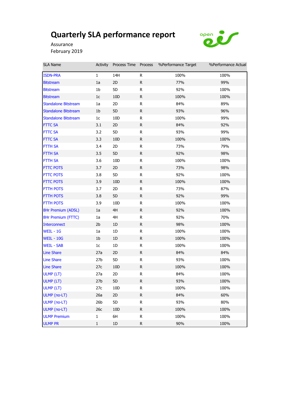

Assurance February 2019

| <b>SLA Name</b>             | Activity        | Process Time Process |             | %Performance Target | %Performance Actual |
|-----------------------------|-----------------|----------------------|-------------|---------------------|---------------------|
| <b>ISDN-PRA</b>             | $\mathbf{1}$    | 14H                  | R           | 100%                | 100%                |
| <b>Bitstream</b>            | 1a              | 2D                   | R           | 77%                 | 99%                 |
| <b>Bitstream</b>            | 1b              | 5D                   | R.          | 92%                 | 100%                |
| <b>Bitstream</b>            | 1 <sub>c</sub>  | 10 <sub>D</sub>      | R.          | 100%                | 100%                |
| <b>Standalone Bitstream</b> | 1a              | 2D                   | R           | 84%                 | 89%                 |
| <b>Standalone Bitstream</b> | 1 <sub>b</sub>  | 5D                   | R           | 93%                 | 96%                 |
| <b>Standalone Bitstream</b> | 1 <sub>c</sub>  | 10D                  | R.          | 100%                | 99%                 |
| <b>FTTC SA</b>              | 3.1             | 2D                   | R           | 84%                 | 92%                 |
| <b>FTTC SA</b>              | 3.2             | 5D                   | R           | 93%                 | 99%                 |
| <b>FTTC SA</b>              | 3.3             | 10D                  | R.          | 100%                | 100%                |
| FTTH SA                     | 3.4             | 2D                   | R           | 73%                 | 79%                 |
| FTTH SA                     | 3.5             | 5D                   | $\mathsf R$ | 92%                 | 98%                 |
| FTTH SA                     | 3.6             | 10D                  | R           | 100%                | 100%                |
| <b>FTTC POTS</b>            | 3.7             | 2D                   | R           | 73%                 | 98%                 |
| <b>FTTC POTS</b>            | 3.8             | 5D                   | R           | 92%                 | 100%                |
| <b>FTTC POTS</b>            | 3.9             | 10D                  | R           | 100%                | 100%                |
| <b>FTTH POTS</b>            | 3.7             | 2D                   | R           | 73%                 | 87%                 |
| <b>FTTH POTS</b>            | 3.8             | 5D                   | R           | 92%                 | 99%                 |
| <b>FTTH POTS</b>            | 3.9             | 10D                  | R           | 100%                | 100%                |
| 8Hr Premium (ADSL)          | 1a              | 4H                   | R           | 92%                 | 100%                |
| 8Hr Premium (FTTC)          | 1a              | 4H                   | R           | 92%                 | 70%                 |
| <b>Interconnect</b>         | 2 <sub>b</sub>  | 1D                   | R           | 98%                 | 100%                |
| WEIL - 1G                   | 1a              | 1D                   | R           | 100%                | 100%                |
| <b>WEIL - 10G</b>           | 1 <sub>b</sub>  | 1D                   | R           | 100%                | 100%                |
| <b>WEIL - SAB</b>           | 1 <sub>c</sub>  | 1D                   | R.          | 100%                | 100%                |
| <b>Line Share</b>           | 27a             | 2D                   | R           | 84%                 | 84%                 |
| <b>Line Share</b>           | 27 <sub>b</sub> | 5D                   | R           | 93%                 | 100%                |
| <b>Line Share</b>           | 27c             | 10 <sub>D</sub>      | R           | 100%                | 100%                |
| ULMP (LT)                   | 27a             | 2D                   | R           | 84%                 | 100%                |
| ULMP (LT)                   | 27 <sub>b</sub> | 5D                   | R           | 93%                 | 100%                |
| ULMP (LT)                   | 27c             | 10D                  | R           | 100%                | 100%                |
| ULMP (no-LT)                | 26a             | 2D                   | R           | 84%                 | 60%                 |
| ULMP (no-LT)                | 26 <sub>b</sub> | 5D                   | R           | 93%                 | 80%                 |
| ULMP (no-LT)                | 26c             | 10D                  | R           | 100%                | 100%                |
| <b>ULMP Premium</b>         | $\mathbf{1}$    | 6H                   | R           | 100%                | 100%                |
| <b>ULMP PR</b>              | $\mathbf 1$     | 1D                   | R           | 90%                 | 100%                |